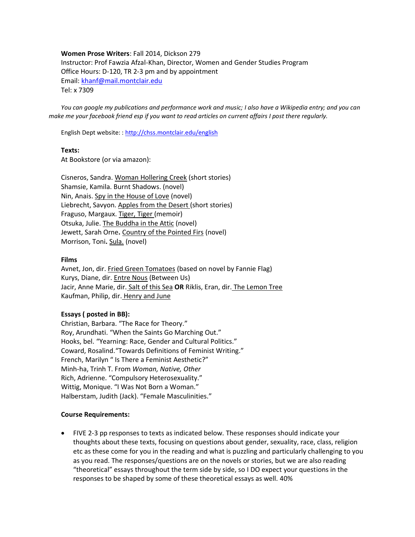**Women Prose Writers**: Fall 2014, Dickson 279 Instructor: Prof Fawzia Afzal-Khan, Director, Women and Gender Studies Program Office Hours: D-120, TR 2-3 pm and by appointment Email: [khanf@mail.montclair.edu](mailto:khanf@mail.montclair.edu) Tel: x 7309

*You can google my publications and performance work and music; I also have a Wikipedia entry; and you can make me your facebook friend esp if you want to read articles on current affairs I post there regularly.*

English Dept website: [: http://chss.montclair.edu/english](http://chss.montclair.edu/english)

#### **Texts:**

At Bookstore (or via amazon):

Cisneros, Sandra. Woman Hollering Creek (short stories) Shamsie, Kamila. Burnt Shadows. (novel) Nin, Anais. Spy in the House of Love (novel) Liebrecht, Savyon. Apples from the Desert (short stories) Fraguso, Margaux. Tiger, Tiger (memoir) Otsuka, Julie. The Buddha in the Attic (novel) Jewett, Sarah Orne**.** Country of the Pointed Firs (novel) Morrison, Toni**.** Sula. (novel)

## **Films**

Avnet, Jon, dir. Fried Green Tomatoes (based on novel by Fannie Flag) Kurys, Diane, dir. Entre Nous (Between Us) Jacir, Anne Marie, dir. Salt of this Sea **OR** Riklis, Eran, dir. The Lemon Tree Kaufman, Philip, dir. Henry and June

## **Essays ( posted in BB):**

Christian, Barbara. "The Race for Theory." Roy, Arundhati. "When the Saints Go Marching Out." Hooks, bel. "Yearning: Race, Gender and Cultural Politics." Coward, Rosalind."Towards Definitions of Feminist Writing." French, Marilyn " Is There a Feminist Aesthetic?" Minh-ha, Trinh T. From *Woman, Native, Other* Rich, Adrienne. "Compulsory Heterosexuality." Wittig, Monique. "I Was Not Born a Woman." Halberstam, Judith (Jack). "Female Masculinities."

## **Course Requirements:**

• FIVE 2-3 pp responses to texts as indicated below. These responses should indicate your thoughts about these texts, focusing on questions about gender, sexuality, race, class, religion etc as these come for you in the reading and what is puzzling and particularly challenging to you as you read. The responses/questions are on the novels or stories, but we are also reading "theoretical" essays throughout the term side by side, so I DO expect your questions in the responses to be shaped by some of these theoretical essays as well. 40%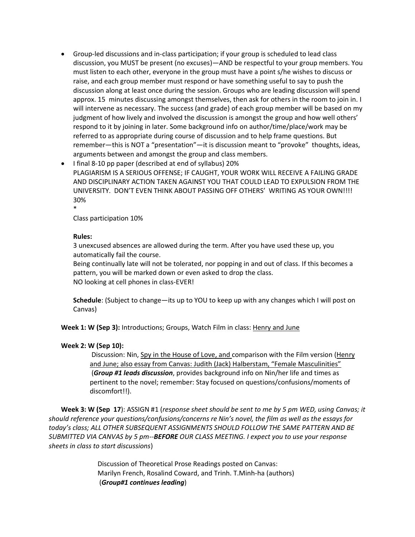- Group-led discussions and in-class participation; if your group is scheduled to lead class discussion, you MUST be present (no excuses)—AND be respectful to your group members. You must listen to each other, everyone in the group must have a point s/he wishes to discuss or raise, and each group member must respond or have something useful to say to push the discussion along at least once during the session. Groups who are leading discussion will spend approx. 15 minutes discussing amongst themselves, then ask for others in the room to join in. I will intervene as necessary. The success (and grade) of each group member will be based on my judgment of how lively and involved the discussion is amongst the group and how well others' respond to it by joining in later. Some background info on author/time/place/work may be referred to as appropriate during course of discussion and to help frame questions. But remember—this is NOT a "presentation"—it is discussion meant to "provoke" thoughts, ideas, arguments between and amongst the group and class members.
- I final 8-10 pp paper (described at end of syllabus) 20% PLAGIARISM IS A SERIOUS OFFENSE; IF CAUGHT, YOUR WORK WILL RECEIVE A FAILING GRADE AND DISCIPLINARY ACTION TAKEN AGAINST YOU THAT COULD LEAD TO EXPULSION FROM THE UNIVERSITY. DON'T EVEN THINK ABOUT PASSING OFF OTHERS' WRITING AS YOUR OWN!!!! 30%

Class participation 10%

## **Rules:**

\*

3 unexcused absences are allowed during the term. After you have used these up, you automatically fail the course.

Being continually late will not be tolerated, nor popping in and out of class. If this becomes a pattern, you will be marked down or even asked to drop the class. NO looking at cell phones in class-EVER!

**Schedule**: (Subject to change—its up to YOU to keep up with any changes which I will post on Canvas)

Week 1: W (Sep 3): Introductions; Groups, Watch Film in class: Henry and June

## **Week 2: W (Sep 10):**

Discussion: Nin, Spy in the House of Love, and comparison with the Film version (Henry and June; also essay from Canvas: Judith (Jack) Halberstam, "Female Masculinities" (*Group #1 leads discussion*, provides background info on Nin/her life and times as pertinent to the novel; remember: Stay focused on questions/confusions/moments of discomfort!!).

**Week 3: W (Sep 17**): ASSIGN #1 (*response sheet should be sent to me by 5 pm WED, using Canvas; it should reference your questions/confusions/concerns re Nin's novel, the film as well as the essays for today's class; ALL OTHER SUBSEQUENT ASSIGNMENTS SHOULD FOLLOW THE SAME PATTERN AND BE SUBMITTED VIA CANVAS by 5 pm--BEFORE OUR CLASS MEETING. I expect you to use your response sheets in class to start discussions*)

> Discussion of Theoretical Prose Readings posted on Canvas: Marilyn French, Rosalind Coward, and Trinh. T.Minh-ha (authors) (*Group#1 continues leading*)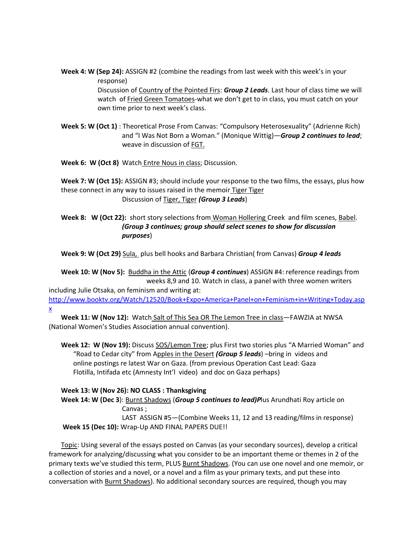**Week 4: W (Sep 24):** ASSIGN #2 (combine the readings from last week with this week's in your response) Discussion of Country of the Pointed Firs: *Group 2 Leads*. Last hour of class time we will watch of Fried Green Tomatoes-what we don't get to in class, you must catch on your

own time prior to next week's class.

**Week 5: W (Oct 1)** : Theoretical Prose From Canvas: "Compulsory Heterosexuality" (Adrienne Rich) and "I Was Not Born a Woman." (Monique Wittig)—*Group 2 continues to lead*; weave in discussion of FGT.

**Week 6: W (Oct 8)** Watch Entre Nous in class; Discussion.

**Week 7: W (Oct 15):** ASSIGN #3; should include your response to the two films, the essays, plus how these connect in any way to issues raised in the memoir Tiger Tiger Discussion of Tiger, Tiger *(Group 3 Leads*)

# **Week 8: W (Oct 22):** short story selections from Woman Hollering Creek and film scenes, Babel. *(Group 3 continues; group should select scenes to show for discussion purposes*)

**Week 9: W (Oct 29)** Sula, plus bell hooks and Barbara Christian( from Canvas) *Group 4 leads*

**Week 10: W (Nov 5):** Buddha in the Attic (*Group 4 continues*) ASSIGN #4: reference readings from weeks 8,9 and 10. Watch in class, a panel with three women writers

including Julie Otsaka, on feminism and writing at:

[http://www.booktv.org/Watch/12520/Book+Expo+America+Panel+on+Feminism+in+Writing+Today.asp](http://www.booktv.org/Watch/12520/Book+Expo+America+Panel+on+Feminism+in+Writing+Today.aspx) [x](http://www.booktv.org/Watch/12520/Book+Expo+America+Panel+on+Feminism+in+Writing+Today.aspx)

**Week 11: W (Nov 12):** Watch Salt of This Sea OR The Lemon Tree in class—FAWZIA at NWSA (National Women's Studies Association annual convention).

**Week 12: W (Nov 19):** Discuss SOS/Lemon Tree; plus First two stories plus "A Married Woman" and "Road to Cedar city" from Apples in the Desert *(Group 5 leads*) –bring in videos and online postings re latest War on Gaza. (from previous Operation Cast Lead: Gaza Flotilla, Intifada etc (Amnesty Int'l video) and doc on Gaza perhaps)

# **Week 13: W (Nov 26): NO CLASS : Thanksgiving**

**Week 14: W (Dec 3**): Burnt Shadows (*Group 5 continues to lead)P*lus Arundhati Roy article on Canvas ;

LAST ASSIGN #5—(Combine Weeks 11, 12 and 13 reading/films in response) **Week 15 (Dec 10):** Wrap-Up AND FINAL PAPERS DUE!!

Topic: Using several of the essays posted on Canvas (as your secondary sources), develop a critical framework for analyzing/discussing what you consider to be an important theme or themes in 2 of the primary texts we've studied this term, PLUS Burnt Shadows. (You can use one novel and one memoir, or a collection of stories and a novel, or a novel and a film as your primary texts, and put these into conversation with Burnt Shadows). No additional secondary sources are required, though you may